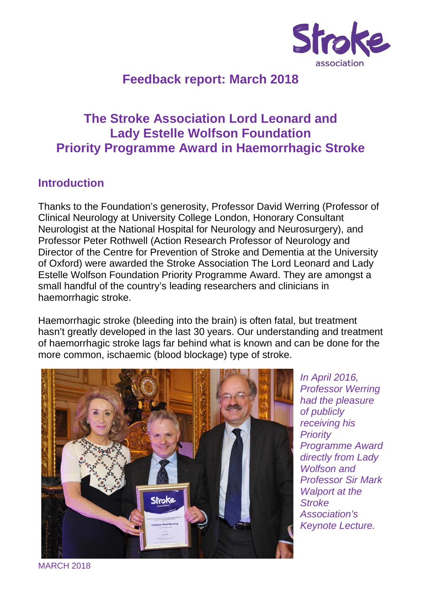

# **Feedback report: March 2018**

# **The Stroke Association Lord Leonard and Lady Estelle Wolfson Foundation Priority Programme Award in Haemorrhagic Stroke**

## **Introduction**

Thanks to the Foundation's generosity, Professor David Werring (Professor of Clinical Neurology at University College London, Honorary Consultant Neurologist at the National Hospital for Neurology and Neurosurgery), and Professor Peter Rothwell (Action Research Professor of Neurology and Director of the Centre for Prevention of Stroke and Dementia at the University of Oxford) were awarded the Stroke Association The Lord Leonard and Lady Estelle Wolfson Foundation Priority Programme Award. They are amongst a small handful of the country's leading researchers and clinicians in haemorrhagic stroke.

Haemorrhagic stroke (bleeding into the brain) is often fatal, but treatment hasn't greatly developed in the last 30 years. Our understanding and treatment of haemorrhagic stroke lags far behind what is known and can be done for the more common, ischaemic (blood blockage) type of stroke.



In April 2016, Professor Werring had the pleasure of publicly receiving his **Priority** Programme Award directly from Lady Wolfson and Professor Sir Mark Walport at the **Stroke** Association's Keynote Lecture.

MARCH 2018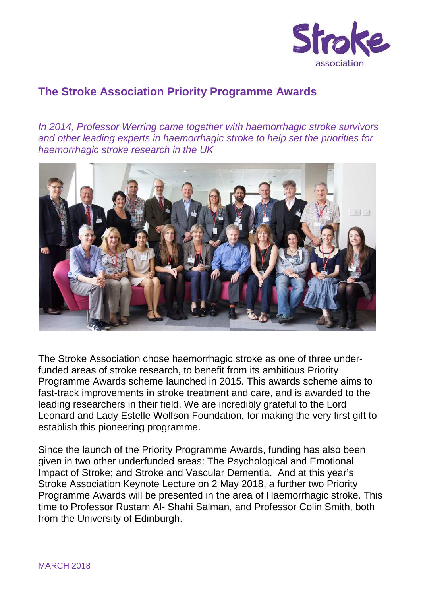

## **The Stroke Association Priority Programme Awards**

In 2014, Professor Werring came together with haemorrhagic stroke survivors and other leading experts in haemorrhagic stroke to help set the priorities for haemorrhagic stroke research in the UK



The Stroke Association chose haemorrhagic stroke as one of three underfunded areas of stroke research, to benefit from its ambitious Priority Programme Awards scheme launched in 2015. This awards scheme aims to fast-track improvements in stroke treatment and care, and is awarded to the leading researchers in their field. We are incredibly grateful to the Lord Leonard and Lady Estelle Wolfson Foundation, for making the very first gift to establish this pioneering programme.

Since the launch of the Priority Programme Awards, funding has also been given in two other underfunded areas: The Psychological and Emotional Impact of Stroke; and Stroke and Vascular Dementia. And at this year's Stroke Association Keynote Lecture on 2 May 2018, a further two Priority Programme Awards will be presented in the area of Haemorrhagic stroke. This time to Professor Rustam Al- Shahi Salman, and Professor Colin Smith, both from the University of Edinburgh.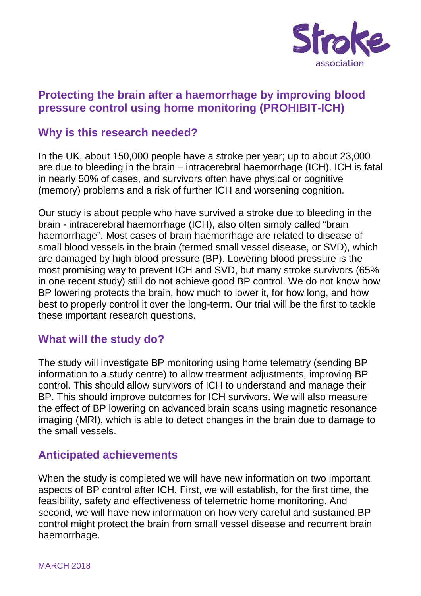

## **Protecting the brain after a haemorrhage by improving blood pressure control using home monitoring (PROHIBIT-ICH)**

### **Why is this research needed?**

In the UK, about 150,000 people have a stroke per year; up to about 23,000 are due to bleeding in the brain – intracerebral haemorrhage (ICH). ICH is fatal in nearly 50% of cases, and survivors often have physical or cognitive (memory) problems and a risk of further ICH and worsening cognition.

Our study is about people who have survived a stroke due to bleeding in the brain - intracerebral haemorrhage (ICH), also often simply called "brain haemorrhage". Most cases of brain haemorrhage are related to disease of small blood vessels in the brain (termed small vessel disease, or SVD), which are damaged by high blood pressure (BP). Lowering blood pressure is the most promising way to prevent ICH and SVD, but many stroke survivors (65% in one recent study) still do not achieve good BP control. We do not know how BP lowering protects the brain, how much to lower it, for how long, and how best to properly control it over the long-term. Our trial will be the first to tackle these important research questions.

### **What will the study do?**

The study will investigate BP monitoring using home telemetry (sending BP information to a study centre) to allow treatment adjustments, improving BP control. This should allow survivors of ICH to understand and manage their BP. This should improve outcomes for ICH survivors. We will also measure the effect of BP lowering on advanced brain scans using magnetic resonance imaging (MRI), which is able to detect changes in the brain due to damage to the small vessels.

### **Anticipated achievements**

When the study is completed we will have new information on two important aspects of BP control after ICH. First, we will establish, for the first time, the feasibility, safety and effectiveness of telemetric home monitoring. And second, we will have new information on how very careful and sustained BP control might protect the brain from small vessel disease and recurrent brain haemorrhage.